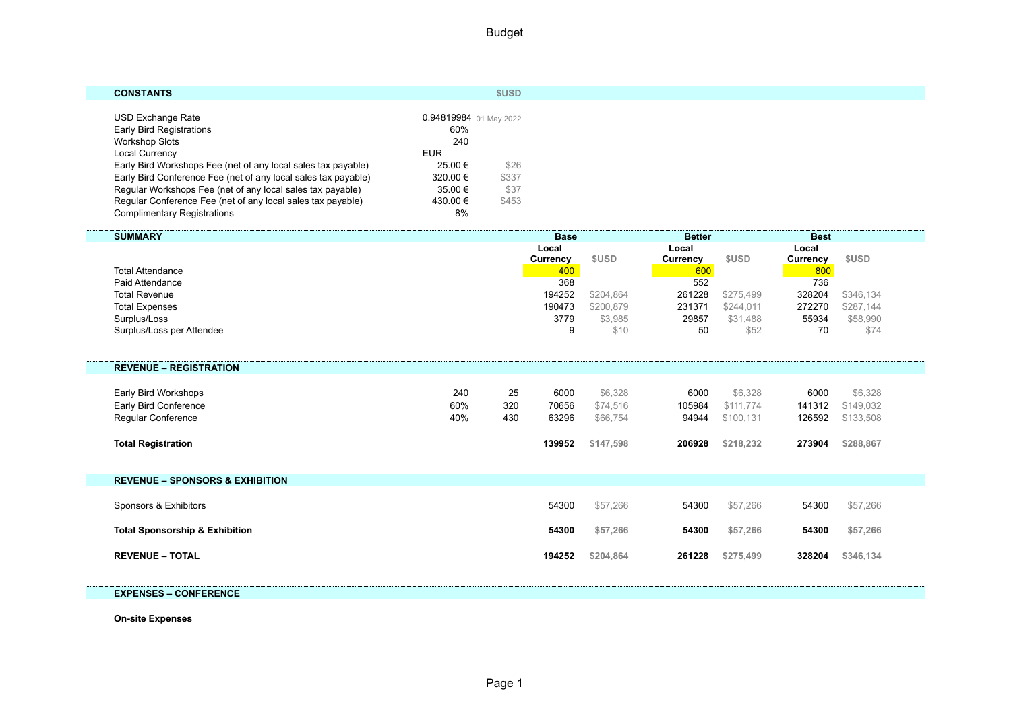| <b>CONSTANTS</b>                                               |                        | \$USD |  |
|----------------------------------------------------------------|------------------------|-------|--|
| USD Exchange Rate                                              | 0.94819984 01 May 2022 |       |  |
| <b>Early Bird Registrations</b>                                | 60%                    |       |  |
| Workshop Slots                                                 | 240                    |       |  |
| <b>Local Currency</b>                                          | <b>EUR</b>             |       |  |
| Early Bird Workshops Fee (net of any local sales tax payable)  | 25.00 €                | \$26  |  |
| Early Bird Conference Fee (net of any local sales tax payable) | 320.00 €               | \$337 |  |
| Regular Workshops Fee (net of any local sales tax payable)     | 35.00 €                | \$37  |  |
| Regular Conference Fee (net of any local sales tax payable)    | 430.00 €               | \$453 |  |
| <b>Complimentary Registrations</b>                             | 8%                     |       |  |

| <b>SUMMARY</b>                             |     |     | <b>Base</b>       |           | <b>Better</b>     |           | <b>Best</b>       |             |
|--------------------------------------------|-----|-----|-------------------|-----------|-------------------|-----------|-------------------|-------------|
|                                            |     |     | Local<br>Currency | \$USD     | Local<br>Currency | \$USD     | Local<br>Currency | <b>SUSD</b> |
| <b>Total Attendance</b>                    |     |     | 400               |           | 600               |           | 800               |             |
| Paid Attendance                            |     |     | 368               |           | 552               |           | 736               |             |
| <b>Total Revenue</b>                       |     |     | 194252            | \$204.864 | 261228            | \$275.499 | 328204            | \$346,134   |
| <b>Total Expenses</b>                      |     |     | 190473            | \$200,879 | 231371            | \$244,011 | 272270            | \$287,144   |
| Surplus/Loss                               |     |     | 3779              | \$3,985   | 29857             | \$31,488  | 55934             | \$58,990    |
| Surplus/Loss per Attendee                  |     |     | 9                 | \$10      | 50                | \$52      | 70                | \$74        |
|                                            |     |     |                   |           |                   |           |                   |             |
| <b>REVENUE - REGISTRATION</b>              |     |     |                   |           |                   |           |                   |             |
| Early Bird Workshops                       | 240 | 25  | 6000              | \$6,328   | 6000              | \$6,328   | 6000              | \$6,328     |
| Early Bird Conference                      | 60% | 320 | 70656             | \$74,516  | 105984            | \$111,774 | 141312            | \$149,032   |
| Regular Conference                         | 40% | 430 | 63296             | \$66,754  | 94944             | \$100,131 | 126592            | \$133,508   |
|                                            |     |     |                   |           |                   |           |                   |             |
| <b>Total Registration</b>                  |     |     | 139952            | \$147,598 | 206928            | \$218,232 | 273904            | \$288,867   |
|                                            |     |     |                   |           |                   |           |                   |             |
| <b>REVENUE - SPONSORS &amp; EXHIBITION</b> |     |     |                   |           |                   |           |                   |             |
| Sponsors & Exhibitors                      |     |     | 54300             | \$57,266  | 54300             | \$57,266  | 54300             | \$57,266    |
|                                            |     |     |                   |           |                   |           |                   |             |
| <b>Total Sponsorship &amp; Exhibition</b>  |     |     | 54300             | \$57,266  | 54300             | \$57,266  | 54300             | \$57,266    |
| <b>REVENUE - TOTAL</b>                     |     |     | 194252            | \$204,864 | 261228            | \$275,499 | 328204            | \$346,134   |
|                                            |     |     |                   |           |                   |           |                   |             |
|                                            |     |     |                   |           |                   |           |                   |             |

**EXPENSES – CONFERENCE**

**On-site Expenses**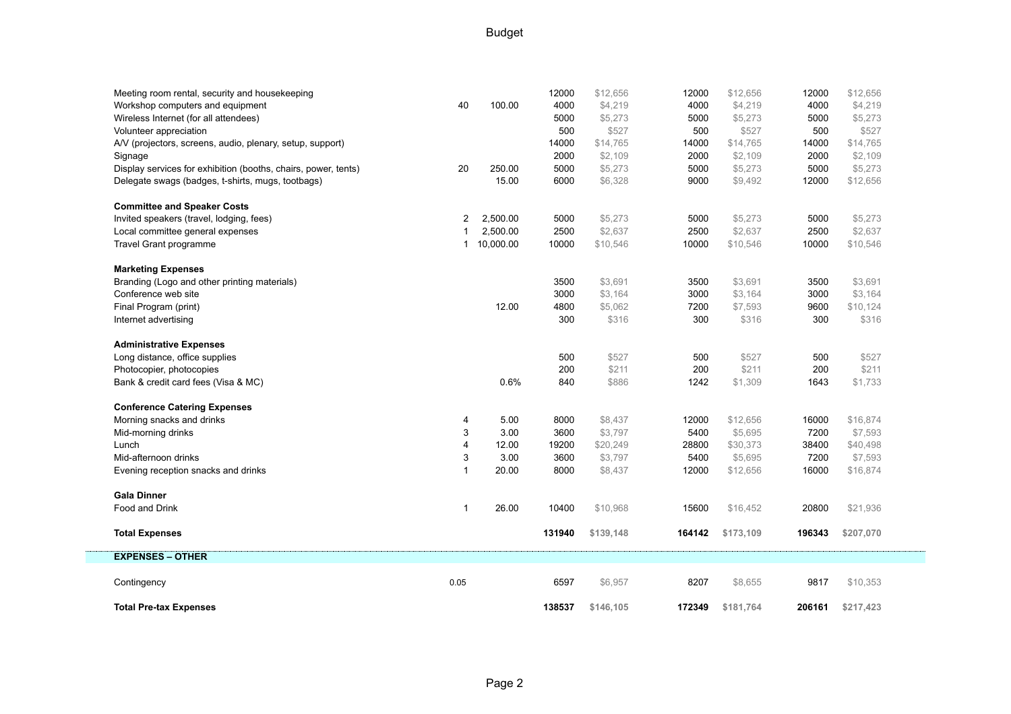## Budget

| Meeting room rental, security and housekeeping                 |      |             | 12000  | \$12,656  | 12000  | \$12,656  | 12000  | \$12,656  |
|----------------------------------------------------------------|------|-------------|--------|-----------|--------|-----------|--------|-----------|
| Workshop computers and equipment                               | 40   | 100.00      | 4000   | \$4,219   | 4000   | \$4,219   | 4000   | \$4,219   |
| Wireless Internet (for all attendees)                          |      |             | 5000   | \$5,273   | 5000   | \$5,273   | 5000   | \$5,273   |
| Volunteer appreciation                                         |      |             | 500    | \$527     | 500    | \$527     | 500    | \$527     |
| A/V (projectors, screens, audio, plenary, setup, support)      |      |             | 14000  | \$14,765  | 14000  | \$14,765  | 14000  | \$14,765  |
| Signage                                                        |      |             | 2000   | \$2,109   | 2000   | \$2,109   | 2000   | \$2,109   |
| Display services for exhibition (booths, chairs, power, tents) | 20   | 250.00      | 5000   | \$5,273   | 5000   | \$5,273   | 5000   | \$5,273   |
| Delegate swags (badges, t-shirts, mugs, tootbags)              |      | 15.00       | 6000   | \$6,328   | 9000   | \$9,492   | 12000  | \$12,656  |
| <b>Committee and Speaker Costs</b>                             |      |             |        |           |        |           |        |           |
| Invited speakers (travel, lodging, fees)                       | 2    | 2,500.00    | 5000   | \$5,273   | 5000   | \$5,273   | 5000   | \$5,273   |
| Local committee general expenses                               |      | 2,500.00    | 2500   | \$2,637   | 2500   | \$2,637   | 2500   | \$2,637   |
| <b>Travel Grant programme</b>                                  |      | 1 10,000.00 | 10000  | \$10,546  | 10000  | \$10,546  | 10000  | \$10,546  |
| <b>Marketing Expenses</b>                                      |      |             |        |           |        |           |        |           |
| Branding (Logo and other printing materials)                   |      |             | 3500   | \$3,691   | 3500   | \$3,691   | 3500   | \$3,691   |
| Conference web site                                            |      |             | 3000   | \$3,164   | 3000   | \$3,164   | 3000   | \$3,164   |
| Final Program (print)                                          |      | 12.00       | 4800   | \$5,062   | 7200   | \$7,593   | 9600   | \$10,124  |
| Internet advertising                                           |      |             | 300    | \$316     | 300    | \$316     | 300    | \$316     |
| <b>Administrative Expenses</b>                                 |      |             |        |           |        |           |        |           |
| Long distance, office supplies                                 |      |             | 500    | \$527     | 500    | \$527     | 500    | \$527     |
| Photocopier, photocopies                                       |      |             | 200    | \$211     | 200    | \$211     | 200    | \$211     |
| Bank & credit card fees (Visa & MC)                            |      | 0.6%        | 840    | \$886     | 1242   | \$1,309   | 1643   | \$1,733   |
| <b>Conference Catering Expenses</b>                            |      |             |        |           |        |           |        |           |
| Morning snacks and drinks                                      | 4    | 5.00        | 8000   | \$8,437   | 12000  | \$12,656  | 16000  | \$16,874  |
| Mid-morning drinks                                             | 3    | 3.00        | 3600   | \$3,797   | 5400   | \$5,695   | 7200   | \$7,593   |
| Lunch                                                          | 4    | 12.00       | 19200  | \$20,249  | 28800  | \$30,373  | 38400  | \$40,498  |
| Mid-afternoon drinks                                           | 3    | 3.00        | 3600   | \$3,797   | 5400   | \$5,695   | 7200   | \$7,593   |
| Evening reception snacks and drinks                            | 1    | 20.00       | 8000   | \$8,437   | 12000  | \$12,656  | 16000  | \$16,874  |
| <b>Gala Dinner</b>                                             |      |             |        |           |        |           |        |           |
| Food and Drink                                                 | 1    | 26.00       | 10400  | \$10,968  | 15600  | \$16,452  | 20800  | \$21,936  |
| <b>Total Expenses</b>                                          |      |             | 131940 | \$139,148 | 164142 | \$173,109 | 196343 | \$207,070 |
| <b>EXPENSES - OTHER</b>                                        |      |             |        |           |        |           |        |           |
| Contingency                                                    | 0.05 |             | 6597   | \$6,957   | 8207   | \$8,655   | 9817   | \$10,353  |
| <b>Total Pre-tax Expenses</b>                                  |      |             | 138537 | \$146,105 | 172349 | \$181,764 | 206161 | \$217,423 |